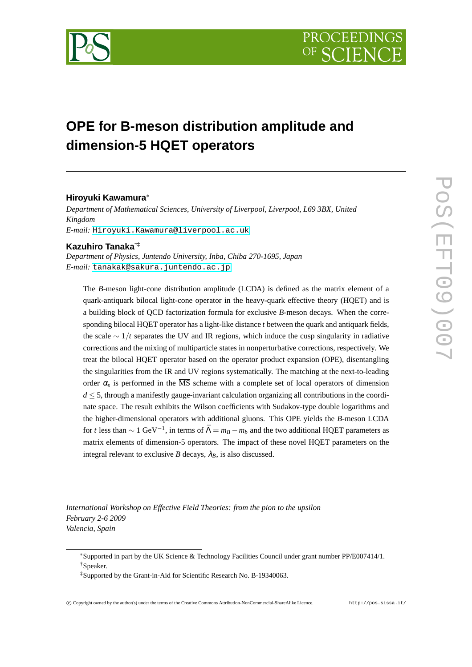

## **OPE for B-meson distribution amplitude and dimension-5 HQET operators**

## **Hiroyuki Kawamura**<sup>∗</sup>

*Department of Mathematical Sciences, University of Liverpool, Liverpool, L69 3BX, United Kingdom E-mail:* [Hiroyuki.Kawamura@liverpool.ac.uk](mailto:Hiroyuki.Kawamura@liverpool.ac.uk)

## **Kazuhiro Tanaka**†‡

*Department of Physics, Juntendo University, Inba, Chiba 270-1695, Japan E-mail:* [tanakak@sakura.juntendo.ac.jp](mailto:tanakak@sakura.juntendo.ac.jp)

The *B*-meson light-cone distribution amplitude (LCDA) is defined as the matrix element of a quark-antiquark bilocal light-cone operator in the heavy-quark effective theory (HQET) and is a building block of QCD factorization formula for exclusive *B*-meson decays. When the corresponding bilocal HQET operator has a light-like distance *t* between the quark and antiquark fields, the scale ∼ 1/*t* separates the UV and IR regions, which induce the cusp singularity in radiative corrections and the mixing of multiparticle states in nonperturbative corrections, respectively. We treat the bilocal HQET operator based on the operator product expansion (OPE), disentangling the singularities from the IR and UV regions systematically. The matching at the next-to-leading order  $\alpha_s$  is performed in the  $\overline{\text{MS}}$  scheme with a complete set of local operators of dimension  $d \leq 5$ , through a manifestly gauge-invariant calculation organizing all contributions in the coordinate space. The result exhibits the Wilson coefficients with Sudakov-type double logarithms and the higher-dimensional operators with additional gluons. This OPE yields the *B*-meson LCDA for *t* less than  $\sim 1 \text{ GeV}^{-1}$ , in terms of  $\bar{\Lambda} = m_B - m_b$  and the two additional HQET parameters as matrix elements of dimension-5 operators. The impact of these novel HQET parameters on the integral relevant to exclusive *B* decays,  $\lambda_B$ , is also discussed.

*International Workshop on Effective Field Theories: from the pion to the upsilon February 2-6 2009 Valencia, Spain*

<sup>∗</sup>Supported in part by the UK Science & Technology Facilities Council under grant number PP/E007414/1. †Speaker.

<sup>‡</sup>Supported by the Grant-in-Aid for Scientific Research No. B-19340063.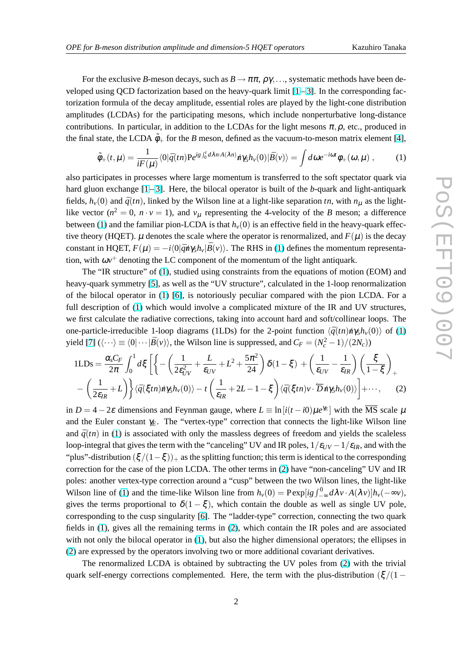<span id="page-1-0"></span>For the exclusive *B*-meson decays, such as  $B \to \pi \pi$ ,  $\rho \gamma$ ,..., systematic methods have been developed using QCD factorization based on the heavy-quark limit  $[1-3]$  $[1-3]$ . In the corresponding factorization formula of the decay amplitude, essential roles are played by the light-cone distribution amplitudes (LCDAs) for the participating mesons, which include nonperturbative long-distance contributions. In particular, in addition to the LCDAs for the light mesons  $\pi, \rho$ , etc., produced in the final state, the LCDA  $\tilde{\phi}_+$  for the *B* meson, defined as the vacuum-to-meson matrix element [\[4\]](#page-6-0),

$$
\tilde{\phi}_{+}(t,\mu) = \frac{1}{iF(\mu)} \langle 0|\bar{q}(tn) \mathbf{P}e^{ig\int_{0}^{t} d\lambda n \cdot A(\lambda n)} \dot{n} \gamma_{5} h_{\nu}(0) |\bar{B}(\nu)\rangle = \int d\omega e^{-i\omega t} \phi_{+}(\omega,\mu) , \quad (1)
$$

also participates in processes where large momentum is transferred to the soft spectator quark via hard gluon exchange  $[1-3]$  $[1-3]$  $[1-3]$ . Here, the bilocal operator is built of the *b*-quark and light-antiquark fields,  $h_v(0)$  and  $\bar{q}(tn)$ , linked by the Wilson line at a light-like separation *tn*, with  $n_\mu$  as the lightlike vector ( $n^2 = 0$ ,  $n \cdot v = 1$ ), and  $v_\mu$  representing the 4-velocity of the *B* meson; a difference between (1) and the familiar pion-LCDA is that  $h<sub>v</sub>(0)$  is an effective field in the heavy-quark effective theory (HQET).  $\mu$  denotes the scale where the operator is renormalized, and  $F(\mu)$  is the decay constant in HQET,  $F(\mu) = -i\langle 0|\bar{q}\eta\gamma_5 h_v|\bar{B}(v)\rangle$ . The RHS in (1) defines the momentum representation, with  $\omega v^+$  denoting the LC component of the momentum of the light antiquark.

The "IR structure" of (1), studied using constraints from the equations of motion (EOM) and heavy-quark symmetry [\[5\]](#page-6-0), as well as the "UV structure", calculated in the 1-loop renormalization of the bilocal operator in (1) [\[6\]](#page-6-0), is notoriously peculiar compared with the pion LCDA. For a full description of (1) which would involve a complicated mixture of the IR and UV structures, we first calculate the radiative corrections, taking into account hard and soft/collinear loops. The one-particle-irreducible 1-loop diagrams (1LDs) for the 2-point function  $\langle \bar{q}(tn) \dot{n} \gamma_5 h_v(0) \rangle$  of (1) yield [\[7\]](#page-6-0)  $(\langle \cdots \rangle \equiv \langle 0 | \cdots | \bar{B}(v) \rangle)$ , the Wilson line is suppressed, and  $C_F = (N_c^2 - 1)/(2N_c)$ )

$$
1LDs = \frac{\alpha_s C_F}{2\pi} \int_0^1 d\xi \left[ \left\{ -\left( \frac{1}{2\varepsilon_{UV}^2} + \frac{L}{\varepsilon_{UV}} + L^2 + \frac{5\pi^2}{24} \right) \delta(1-\xi) + \left( \frac{1}{\varepsilon_{UV}} - \frac{1}{\varepsilon_{IR}} \right) \left( \frac{\xi}{1-\xi} \right)_{+} - \left( \frac{1}{2\varepsilon_{IR}} + L \right) \right\} \langle \bar{q}(\xi t n) n \gamma_s h_v(0) \rangle - t \left( \frac{1}{\varepsilon_{IR}} + 2L - 1 - \xi \right) \langle \bar{q}(\xi t n) v \cdot \overline{D} n \gamma_s h_v(0) \rangle \right] + \cdots, \quad (2)
$$

in  $D = 4 - 2\varepsilon$  dimensions and Feynman gauge, where  $L = \ln[i(t - i0)\mu e^{\gamma_E}]$  with the  $\overline{\text{MS}}$  scale  $\mu$ and the Euler constant  $\gamma_F$ . The "vertex-type" correction that connects the light-like Wilson line and  $\bar{q}(tn)$  in (1) is associated with only the massless degrees of freedom and yields the scaleless loop-integral that gives the term with the "canceling" UV and IR poles,  $1/\varepsilon_{UV} - 1/\varepsilon_{IR}$ , and with the "plus"-distribution  $(\xi/(1-\xi))_+$  as the splitting function; this term is identical to the corresponding correction for the case of the pion LCDA. The other terms in (2) have "non-canceling" UV and IR poles: another vertex-type correction around a "cusp" between the two Wilson lines, the light-like Wilson line of (1) and the time-like Wilson line from  $h_v(0) = \text{Pexp}[ig \int_{-\infty}^0 d\lambda v \cdot A(\lambda v)] h_v(-\infty v)$ , gives the terms proportional to  $\delta(1-\xi)$ , which contain the double as well as single UV pole, corresponding to the cusp singularity [\[6\]](#page-6-0). The "ladder-type" correction, connecting the two quark fields in (1), gives all the remaining terms in (2), which contain the IR poles and are associated with not only the bilocal operator in (1), but also the higher dimensional operators; the ellipses in (2) are expressed by the operators involving two or more additional covariant derivatives.

The renormalized LCDA is obtained by subtracting the UV poles from (2) with the trivial quark self-energy corrections complemented. Here, the term with the plus-distribution ( $\xi/(1 - \frac{1}{\xi})$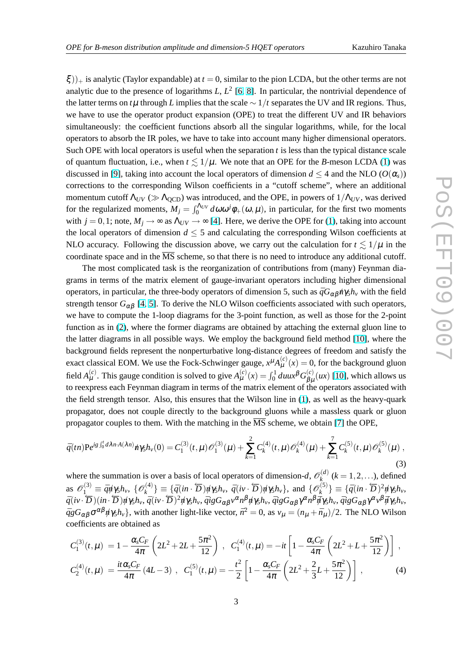<span id="page-2-0"></span> $\xi$ ))<sub>+</sub> is analytic (Taylor expandable) at *t* = 0, similar to the pion LCDA, but the other terms are not analytic due to the presence of logarithms  $L, L<sup>2</sup>$  [\[6,](#page-6-0) [8\]](#page-6-0). In particular, the nontrivial dependence of the latter terms on  $t\mu$  through *L* implies that the scale  $\sim 1/t$  separates the UV and IR regions. Thus, we have to use the operator product expansion (OPE) to treat the different UV and IR behaviors simultaneously: the coefficient functions absorb all the singular logarithms, while, for the local operators to absorb the IR poles, we have to take into account many higher dimensional operators. Such OPE with local operators is useful when the separation *t* is less than the typical distance scale of quantum fluctuation, i.e., when  $t \leq 1/\mu$ . We note that an OPE for the *B*-meson LCDA [\(1\)](#page-1-0) was discussed in [\[9\]](#page-6-0), taking into account the local operators of dimension  $d \leq 4$  and the NLO ( $O(\alpha_s)$ ) corrections to the corresponding Wilson coefficients in a "cutoff scheme", where an additional momentum cutoff  $\Lambda_{UV}$  ( $\gg \Lambda_{\text{OCD}}$ ) was introduced, and the OPE, in powers of  $1/\Lambda_{UV}$ , was derived for the regularized moments,  $M_j = \int_0^{\Lambda_{UV}} d\omega \omega^j \phi_+(\omega,\mu)$ , in particular, for the first two moments with  $j = 0, 1$ ; note,  $M_j \rightarrow \infty$  as  $\Lambda_{UV} \rightarrow \infty$  [\[4\]](#page-6-0). Here, we derive the OPE for [\(1\)](#page-1-0), taking into account the local operators of dimension  $d \leq 5$  and calculating the corresponding Wilson coefficients at NLO accuracy. Following the discussion above, we carry out the calculation for  $t \leq 1/\mu$  in the coordinate space and in the  $\overline{\text{MS}}$  scheme, so that there is no need to introduce any additional cutoff.

The most complicated task is the reorganization of contributions from (many) Feynman diagrams in terms of the matrix element of gauge-invariant operators including higher dimensional operators, in particular, the three-body operators of dimension 5, such as  $\bar{q}G_{\alpha\beta}h\gamma_5h_\nu$  with the field strength tensor  $G_{\alpha\beta}$  [\[4,](#page-6-0) [5\]](#page-6-0). To derive the NLO Wilson coefficients associated with such operators, we have to compute the 1-loop diagrams for the 3-point function, as well as those for the 2-point function as in [\(2\)](#page-1-0), where the former diagrams are obtained by attaching the external gluon line to the latter diagrams in all possible ways. We employ the background field method [\[10\]](#page-6-0), where the background fields represent the nonperturbative long-distance degrees of freedom and satisfy the exact classical EOM. We use the Fock-Schwinger gauge,  $x^{\mu}A_{\mu}^{(c)}(x) = 0$ , for the background gluon field  $A_{\mu}^{(c)}$ . This gauge condition is solved to give  $A_{\mu}^{(c)}(x) = \int_0^1 du \mu^{\beta} G_{\beta\mu}^{(c)}$  $\beta_{\mu}^{(c)}(ux)$  [\[10\]](#page-6-0), which allows us to reexpress each Feynman diagram in terms of the matrix element of the operators associated with the field strength tensor. Also, this ensures that the Wilson line in [\(1\)](#page-1-0), as well as the heavy-quark propagator, does not couple directly to the background gluons while a massless quark or gluon propagator couples to them. With the matching in the  $\overline{\text{MS}}$  scheme, we obtain [\[7\]](#page-6-0) the OPE,

$$
\bar{q}(tn) \mathbf{P}e^{ig\int_0^t d\lambda n \cdot A(\lambda n)} \hat{n} \gamma_5 h_v(0) = C_1^{(3)}(t,\mu) \mathcal{O}_1^{(3)}(\mu) + \sum_{k=1}^2 C_k^{(4)}(t,\mu) \mathcal{O}_k^{(4)}(\mu) + \sum_{k=1}^7 C_k^{(5)}(t,\mu) \mathcal{O}_k^{(5)}(\mu) ,
$$
\n(3)

where the summation is over a basis of local operators of dimension-*d*,  $\mathcal{O}_k^{(d)}$  $\chi_k^{(a)}$  ( $k = 1, 2, ...$ ), defined as  $\mathscr{O}_1^{(3)} \equiv \bar{q}\psi\gamma_5 h_\nu, \ \{\mathscr{O}_k^{(4)}\}$  $\{e^{(A)}_k\}$  = { $\bar{q}(in \cdot \overline{D})\psi\gamma_5h_v$ ,  $\bar{q}(iv \cdot \overline{D})\psi\gamma_5h_v$ }, and { $\mathcal{O}_k^{(5)}$  $\left\{\begin{matrix} \hat{a}(5) \\ k \end{matrix}\right\} \equiv \{ \bar{q}(in \cdot \overleftarrow{D})^2 \psi \gamma_5 h_v,$  $\bar{q}(iv\cdot\overline{D})(in\cdot\overline{D})\psi_{\gamma}h_{\gamma},\bar{q}(iv\cdot\overline{D})^2\psi_{\gamma}h_{\gamma},\bar{q}igG_{\alpha\beta}v^{\alpha}n^{\beta}\psi_{\gamma}h_{\gamma},\bar{q}igG_{\alpha\beta}\gamma^{\alpha}n^{\beta}\bar{q}\gamma_{\gamma}h_{\gamma},\bar{q}igG_{\alpha\beta}\gamma^{\alpha}v^{\beta}\bar{q}\gamma_{\gamma}h_{\gamma},$  $\bar{q}_g G_{\alpha\beta} \sigma^{\alpha\beta} \eta' \gamma_5 h_v$ , with another light-like vector,  $\bar{n}^2 = 0$ , as  $v_\mu = (n_\mu + \bar{n}_\mu)/2$ . The NLO Wilson coefficients are obtained as

$$
C_1^{(3)}(t,\mu) = 1 - \frac{\alpha_s C_F}{4\pi} \left( 2L^2 + 2L + \frac{5\pi^2}{12} \right) , \quad C_1^{(4)}(t,\mu) = -it \left[ 1 - \frac{\alpha_s C_F}{4\pi} \left( 2L^2 + L + \frac{5\pi^2}{12} \right) \right] ,
$$
  

$$
C_2^{(4)}(t,\mu) = \frac{it\alpha_s C_F}{4\pi} (4L - 3) , \quad C_1^{(5)}(t,\mu) = -\frac{t^2}{2} \left[ 1 - \frac{\alpha_s C_F}{4\pi} \left( 2L^2 + \frac{2}{3}L + \frac{5\pi^2}{12} \right) \right] ,
$$
 (4)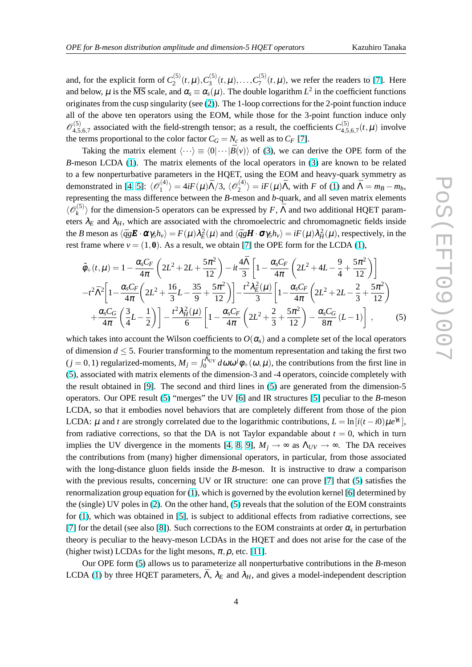<span id="page-3-0"></span>and, for the explicit form of  $C_2^{(5)}$  $C_2^{(5)}(t,\mu), C_3^{(5)}$  $C_3^{(5)}(t,\mu), \ldots, C_7^{(5)}$  $T_7^{(0)}(t,\mu)$ , we refer the readers to [\[7\]](#page-6-0). Here and below,  $\mu$  is the  $\overline{\rm MS}$  scale, and  $\alpha_{\rm s}\equiv\alpha_{\rm s}(\mu)$ . The double logarithm  $L^2$  in the coefficient functions originates from the cusp singularity (see [\(2\)](#page-1-0)). The 1-loop corrections for the 2-point function induce all of the above ten operators using the EOM, while those for the 3-point function induce only  $\mathscr{O}_{4.5}^{(5)}$  $\alpha_{4,5,6,7}^{(5)}$  associated with the field-strength tensor; as a result, the coefficients  $C_{4,5}^{(5)}$  $^{(3)}_{4,5,6,7}(t,\mu)$  involve the terms proportional to the color factor  $C_G = N_c$  as well as to  $C_F$  [\[7\]](#page-6-0).

Taking the matrix element  $\langle \cdots \rangle \equiv \langle 0| \cdots | \bar{B}(v) \rangle$  of [\(3\)](#page-2-0), we can derive the OPE form of the *B*-meson LCDA [\(1\)](#page-1-0). The matrix elements of the local operators in [\(3\)](#page-2-0) are known to be related to a few nonperturbative parameters in the HQET, using the EOM and heavy-quark symmetry as demonstrated in [\[4,](#page-6-0) [5\]](#page-6-0):  $\langle \mathcal{O}_1^{(4)} \rangle$  $\langle A^{(4)}_{1} \rangle = 4iF(\mu)\bar{\Lambda}/3, \, \langle {\mathscr O}^{(4)}_{2} \rangle$  $\langle A \rangle$ <sup>2</sup> $\rangle = iF(\mu)\bar{\Lambda}$ , with *F* of [\(1\)](#page-1-0) and  $\bar{\Lambda} = m_B - m_b$ , representing the mass difference between the *B*-meson and *b*-quark, and all seven matrix elements  $\langle {\mathscr O}_k^{(5)}\,$  $\binom{5}{k}$  for the dimension-5 operators can be expressed by *F*,  $\bar{\Lambda}$  and two additional HQET parameters  $\lambda_E$  and  $\lambda_H$ , which are associated with the chromoelectric and chromomagnetic fields inside the *B* meson as  $\langle \bar{q}g\mathbf{E} \cdot \boldsymbol{\alpha}\gamma_5 h_v \rangle = F(\mu)\lambda_E^2(\mu)$  and  $\langle \bar{q}g\mathbf{H} \cdot \boldsymbol{\sigma}\gamma_5 h_v \rangle = iF(\mu)\lambda_H^2(\mu)$ , respectively, in the rest frame where  $v = (1, 0)$ . As a result, we obtain [\[7\]](#page-6-0) the OPE form for the LCDA [\(1\)](#page-1-0),

$$
\tilde{\phi}_{+}(t,\mu) = 1 - \frac{\alpha_{s}C_{F}}{4\pi} \left( 2L^{2} + 2L + \frac{5\pi^{2}}{12} \right) - it\frac{4\bar{\Lambda}}{3} \left[ 1 - \frac{\alpha_{s}C_{F}}{4\pi} \left( 2L^{2} + 4L - \frac{9}{4} + \frac{5\pi^{2}}{12} \right) \right]
$$
\n
$$
-t^{2}\bar{\Lambda}^{2} \left[ 1 - \frac{\alpha_{s}C_{F}}{4\pi} \left( 2L^{2} + \frac{16}{3}L - \frac{35}{9} + \frac{5\pi^{2}}{12} \right) \right] - \frac{t^{2}\lambda_{E}^{2}(\mu)}{3} \left[ 1 - \frac{\alpha_{s}C_{F}}{4\pi} \left( 2L^{2} + 2L - \frac{2}{3} + \frac{5\pi^{2}}{12} \right) \right]
$$
\n
$$
+ \frac{\alpha_{s}C_{G}}{4\pi} \left( \frac{3}{4}L - \frac{1}{2} \right) \left[ -\frac{t^{2}\lambda_{H}^{2}(\mu)}{6} \left[ 1 - \frac{\alpha_{s}C_{F}}{4\pi} \left( 2L^{2} + \frac{2}{3} + \frac{5\pi^{2}}{12} \right) - \frac{\alpha_{s}C_{G}}{8\pi} (L - 1) \right] \right],
$$
\n(5)

which takes into account the Wilson coefficients to  $O(\alpha_s)$  and a complete set of the local operators of dimension  $d \leq 5$ . Fourier transforming to the momentum representation and taking the first two (*j* = 0, 1) regularized-moments,  $M_j = \int_0^{\Lambda_{UV}} d\omega \omega^j \phi_+(\omega,\mu)$ , the contributions from the first line in (5), associated with matrix elements of the dimension-3 and -4 operators, coincide completely with the result obtained in [\[9\]](#page-6-0). The second and third lines in (5) are generated from the dimension-5 operators. Our OPE result (5) "merges" the UV [\[6\]](#page-6-0) and IR structures [\[5\]](#page-6-0) peculiar to the *B*-meson LCDA, so that it embodies novel behaviors that are completely different from those of the pion LCDA:  $\mu$  and *t* are strongly correlated due to the logarithmic contributions,  $L = \ln[i(t - i0)\mu e^{\gamma_E}]$ , from radiative corrections, so that the DA is not Taylor expandable about  $t = 0$ , which in turn implies the UV divergence in the moments [\[4,](#page-6-0) [8,](#page-6-0) [9\]](#page-6-0),  $M_j \rightarrow \infty$  as  $\Lambda_{UV} \rightarrow \infty$ . The DA receives the contributions from (many) higher dimensional operators, in particular, from those associated with the long-distance gluon fields inside the *B*-meson. It is instructive to draw a comparison with the previous results, concerning UV or IR structure: one can prove [\[7\]](#page-6-0) that (5) satisfies the renormalization group equation for [\(1\)](#page-1-0), which is governed by the evolution kernel [\[6\]](#page-6-0) determined by the (single) UV poles in [\(2\)](#page-1-0). On the other hand, (5) reveals that the solution of the EOM constraints for [\(1\)](#page-1-0), which was obtained in [\[5\]](#page-6-0), is subject to additional effects from radiative corrections, see [\[7\]](#page-6-0) for the detail (see also [\[8\]](#page-6-0)). Such corrections to the EOM constraints at order  $\alpha_s$  in perturbation theory is peculiar to the heavy-meson LCDAs in the HQET and does not arise for the case of the (higher twist) LCDAs for the light mesons,  $\pi$ ,  $\rho$ , etc. [\[11\]](#page-6-0).

Our OPE form (5) allows us to parameterize all nonperturbative contributions in the *B*-meson LCDA [\(1\)](#page-1-0) by three HQET parameters,  $\bar{\Lambda}$ ,  $\lambda_E$  and  $\lambda_H$ , and gives a model-independent description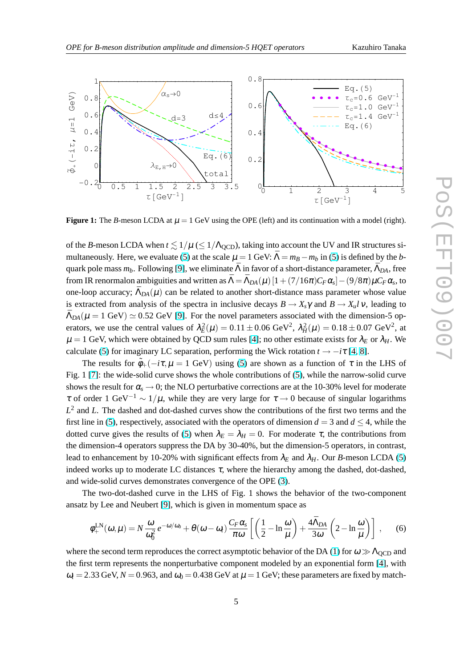<span id="page-4-0"></span>

**Figure 1:** The *B*-meson LCDA at  $\mu = 1$  GeV using the OPE (left) and its continuation with a model (right).

of the *B*-meson LCDA when  $t \leq 1/\mu \leq 1/\Lambda_{\text{QCD}}$ , taking into account the UV and IR structures si-multaneously. Here, we evaluate [\(5\)](#page-3-0) at the scale  $\mu = 1$  GeV:  $\bar{\Lambda} = m_B - m_b$  in [\(5\)](#page-3-0) is defined by the *b*quark pole mass  $m_b$ . Following [\[9\]](#page-6-0), we eliminate  $\bar{\Lambda}$  in favor of a short-distance parameter,  $\bar{\Lambda}_{DA}$ , free from IR renormalon ambiguities and written as  $\bar{\Lambda} = \bar{\Lambda}_{DA}(\mu)\left[1+(7/16\pi)C_F\alpha_s\right]-(9/8\pi)\mu C_F\alpha_s$ , to one-loop accuracy;  $\bar{\Lambda}_{DA}(\mu)$  can be related to another short-distance mass parameter whose value is extracted from analysis of the spectra in inclusive decays  $B \to X_s \gamma$  and  $B \to X_u l \nu$ , leading to  $\bar{\Lambda}_{DA}(\mu = 1 \text{ GeV}) \simeq 0.52 \text{ GeV}$  [\[9\]](#page-6-0). For the novel parameters associated with the dimension-5 operators, we use the central values of  $\lambda_E^2(\mu) = 0.11 \pm 0.06 \text{ GeV}^2$ ,  $\lambda_H^2(\mu) = 0.18 \pm 0.07 \text{ GeV}^2$ , at  $\mu = 1$  GeV, which were obtained by QCD sum rules [\[4\]](#page-6-0); no other estimate exists for  $\lambda_E$  or  $\lambda_H$ . We calculate [\(5\)](#page-3-0) for imaginary LC separation, performing the Wick rotation  $t \rightarrow -i\tau$  [\[4,](#page-6-0) [8\]](#page-6-0).

The results for  $\tilde{\phi}_+(-i\tau,\mu = 1 \text{ GeV})$  using [\(5\)](#page-3-0) are shown as a function of  $\tau$  in the LHS of Fig. 1 [\[7\]](#page-6-0): the wide-solid curve shows the whole contributions of [\(5\)](#page-3-0), while the narrow-solid curve shows the result for  $\alpha_s \rightarrow 0$ ; the NLO perturbative corrections are at the 10-30% level for moderate  $τ$  of order 1 GeV<sup>-1</sup> ~ 1/μ, while they are very large for  $τ$  → 0 because of singular logarithms *L* 2 and *L*. The dashed and dot-dashed curves show the contributions of the first two terms and the first line in [\(5\)](#page-3-0), respectively, associated with the operators of dimension  $d = 3$  and  $d \leq 4$ , while the dotted curve gives the results of [\(5\)](#page-3-0) when  $\lambda_E = \lambda_H = 0$ . For moderate  $\tau$ , the contributions from the dimension-4 operators suppress the DA by 30-40%, but the dimension-5 operators, in contrast, lead to enhancement by 10-20% with significant effects from  $\lambda_E$  and  $\lambda_H$ . Our *B*-meson LCDA [\(5\)](#page-3-0) indeed works up to moderate LC distances  $\tau$ , where the hierarchy among the dashed, dot-dashed, and wide-solid curves demonstrates convergence of the OPE [\(3\)](#page-2-0).

The two-dot-dashed curve in the LHS of Fig. 1 shows the behavior of the two-component ansatz by Lee and Neubert [\[9\]](#page-6-0), which is given in momentum space as

$$
\phi_{+}^{\text{LN}}(\omega,\mu) = N \frac{\omega}{\omega_0^2} e^{-\omega/\omega_0} + \theta(\omega - \omega_t) \frac{C_F \alpha_s}{\pi \omega} \left[ \left( \frac{1}{2} - \ln \frac{\omega}{\mu} \right) + \frac{4 \bar{\Lambda}_{DA}}{3 \omega} \left( 2 - \ln \frac{\omega}{\mu} \right) \right], \quad (6)
$$

where the second term reproduces the correct asymptotic behavior of the DA [\(1\)](#page-1-0) for  $\omega \gg \Lambda_{\text{QCD}}$  and the first term represents the nonperturbative component modeled by an exponential form [\[4\]](#page-6-0), with  $\omega_t$  = 2.33 GeV,  $N$  = 0.963, and  $\omega_0$  = 0.438 GeV at  $\mu$  = 1 GeV; these parameters are fixed by match-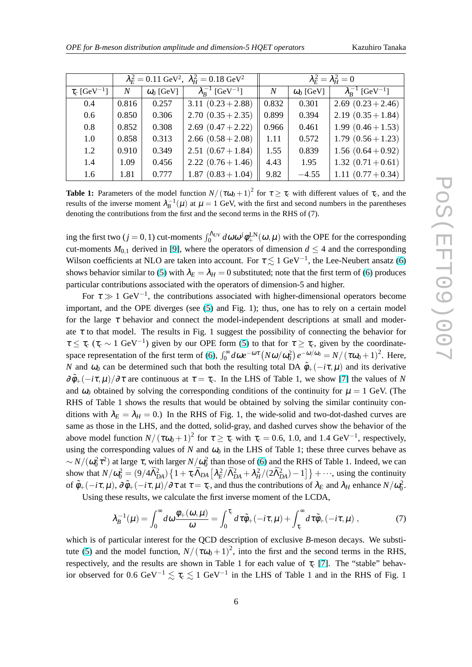<span id="page-5-0"></span>

|                               | $\lambda_E^2 = 0.11 \text{ GeV}^2$ , $\lambda_H^2 = 0.18 \text{ GeV}^2$ |                  |                                         | $\lambda_F^2 = \lambda_H^2 = 0$ |                  |                                         |
|-------------------------------|-------------------------------------------------------------------------|------------------|-----------------------------------------|---------------------------------|------------------|-----------------------------------------|
| $\tau_c$ [GeV <sup>-1</sup> ] | N                                                                       | $\omega_0$ [GeV] | $\lambda_{R}^{-1}$ [GeV <sup>-1</sup> ] | N                               | $\omega_0$ [GeV] | $\lambda_{R}^{-1}$ [GeV <sup>-1</sup> ] |
| 0.4                           | 0.816                                                                   | 0.257            | 3.11 $(0.23 + 2.88)$                    | 0.832                           | 0.301            | 2.69 $(0.23 + 2.46)$                    |
| $0.6\,$                       | 0.850                                                                   | 0.306            | 2.70 $(0.35 + 2.35)$                    | 0.899                           | 0.394            | 2.19 $(0.35 + 1.84)$                    |
| 0.8                           | 0.852                                                                   | 0.308            | 2.69 $(0.47 + 2.22)$                    | 0.966                           | 0.461            | 1.99 $(0.46 + 1.53)$                    |
| 1.0                           | 0.858                                                                   | 0.313            | 2.66 $(0.58 + 2.08)$                    | 1.11                            | 0.572            | $1.79(0.56+1.23)$                       |
| 1.2                           | 0.910                                                                   | 0.349            | $2.51(0.67+1.84)$                       | 1.55                            | 0.839            | 1.56 $(0.64 + 0.92)$                    |
| 1.4                           | 1.09                                                                    | 0.456            | $2.22(0.76+1.46)$                       | 4.43                            | 1.95             | $1.32(0.71+0.61)$                       |
| 1.6                           | 1.81                                                                    | 0.777            | $1.87(0.83 + 1.04)$                     | 9.82                            | $-4.55$          | 1.11 $(0.77+0.34)$                      |

**Table 1:** Parameters of the model function  $N/(\tau \omega_0 + 1)^2$  for  $\tau \ge \tau_c$  with different values of  $\tau_c$ , and the results of the inverse moment  $\lambda_B^{-1}(\mu)$  at  $\mu = 1$  GeV, with the first and second numbers in the parentheses denoting the contributions from the first and the second terms in the RHS of (7).

ing the first two ( $j = 0, 1$ ) cut-moments  $\int_0^{\Lambda_{UV}} d\omega \omega^j \phi_{+}^{LN}(\omega, \mu)$  with the OPE for the corresponding cut-moments  $M_{0,1}$  derived in [\[9\]](#page-6-0), where the operators of dimension  $d \leq 4$  and the corresponding Wilson coefficients at NLO are taken into account. For  $\tau \lesssim 1 \text{ GeV}^{-1}$ , the Lee-Neubert ansatz [\(6\)](#page-4-0) shows behavior similar to [\(5\)](#page-3-0) with  $\lambda_E = \lambda_H = 0$  substituted; note that the first term of [\(6\)](#page-4-0) produces particular contributions associated with the operators of dimension-5 and higher.

For  $\tau \gg 1$  GeV<sup>-1</sup>, the contributions associated with higher-dimensional operators become important, and the OPE diverges (see [\(5\)](#page-3-0) and Fig. 1); thus, one has to rely on a certain model for the large  $\tau$  behavior and connect the model-independent descriptions at small and moderate  $\tau$  to that model. The results in Fig. 1 suggest the possibility of connecting the behavior for  $\tau \leq \tau_c$  ( $\tau_c \sim 1 \text{ GeV}^{-1}$ ) given by our OPE form [\(5\)](#page-3-0) to that for  $\tau \geq \tau_c$ , given by the coordinate-space representation of the first term of [\(6\)](#page-4-0),  $\int_0^\infty d\omega e^{-\omega\tau} (N\omega/\omega_0^2) e^{-\omega/\omega_0} = N/(\tau\omega_0 + 1)^2$ . Here, *N* and  $\omega_0$  can be determined such that both the resulting total DA  $\tilde{\phi}_+(-i\tau,\mu)$  and its derivative  $\partial \tilde{\phi}_+(-i\tau,\mu)/\partial \tau$  are continuous at  $\tau = \tau_c$ . In the LHS of Table 1, we show [\[7\]](#page-6-0) the values of *N* and  $\omega_0$  obtained by solving the corresponding conditions of the continuity for  $\mu = 1$  GeV. (The RHS of Table 1 shows the results that would be obtained by solving the similar continuity conditions with  $\lambda_E = \lambda_H = 0$ .) In the RHS of Fig. 1, the wide-solid and two-dot-dashed curves are same as those in the LHS, and the dotted, solid-gray, and dashed curves show the behavior of the above model function  $N/(\tau \omega_0 + 1)^2$  for  $\tau \ge \tau_c$  with  $\tau_c = 0.6, 1.0,$  and 1.4 GeV<sup>-1</sup>, respectively, using the corresponding values of *N* and  $\omega_0$  in the LHS of Table 1; these three curves behave as  $\sim N/(\omega_0^2 \tau^2)$  at large τ, with larger  $N/\omega_0^2$  than those of [\(6\)](#page-4-0) and the RHS of Table 1. Indeed, we can show that  $N/\omega_0^2 = (9/4\bar{\Lambda}_{DA}^2)\left\{1 + \tau_c\bar{\Lambda}_{DA}\left[\lambda_E^2/\bar{\Lambda}_{DA}^2 + \lambda_H^2/(2\bar{\Lambda}_{DA}^2) - 1\right]\right\} + \cdots$ , using the continuity of  $\tilde{\phi}_+(-i\tau,\mu)$ ,  $\partial \tilde{\phi}_+(-i\tau,\mu)/\partial \tau$  at  $\tau = \tau_c$ , and thus the contributions of  $\lambda_E$  and  $\lambda_H$  enhance  $N/\omega_0^2$ .

Using these results, we calculate the first inverse moment of the LCDA,

$$
\lambda_B^{-1}(\mu) = \int_0^\infty d\omega \frac{\phi_+(\omega,\mu)}{\omega} = \int_0^{\tau_c} d\tau \tilde{\phi}_+(-i\tau,\mu) + \int_{\tau_c}^\infty d\tau \tilde{\phi}_+(-i\tau,\mu) ,\qquad (7)
$$

which is of particular interest for the QCD description of exclusive *B*-meson decays. We substi-tute [\(5\)](#page-3-0) and the model function,  $N/(\tau \omega_0 + 1)^2$ , into the first and the second terms in the RHS, respectively, and the results are shown in Table 1 for each value of  $\tau_c$  [\[7\]](#page-6-0). The "stable" behavior observed for 0.6 GeV<sup>-1</sup>  $\lesssim \tau_c \lesssim 1$  GeV<sup>-1</sup> in the LHS of Table 1 and in the RHS of Fig. 1